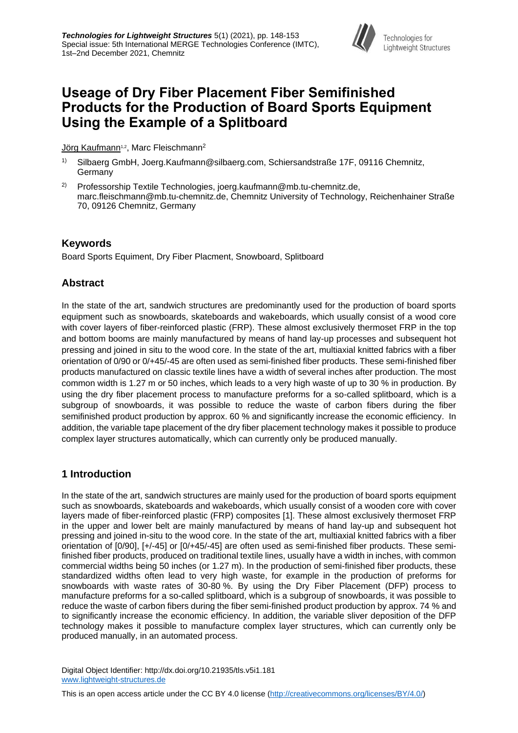

# **Useage of Dry Fiber Placement Fiber Semifinished Products for the Production of Board Sports Equipment Using the Example of a Splitboard**

Jörg Kaufmann<sup>1,2</sup>, Marc Fleischmann<sup>2</sup>

- Silbaerg GmbH, Joerg.Kaufmann@silbaerg.com, Schiersandstraße 17F, 09116 Chemnitz, Germany
- 2) Professorship Textile Technologies, joerg.kaufmann@mb.tu-chemnitz.de, marc.fleischmann@mb.tu-chemnitz.de, Chemnitz University of Technology, Reichenhainer Straße 70, 09126 Chemnitz, Germany

### **Keywords**

Board Sports Equiment, Dry Fiber Placment, Snowboard, Splitboard

# **Abstract**

In the state of the art, sandwich structures are predominantly used for the production of board sports equipment such as snowboards, skateboards and wakeboards, which usually consist of a wood core with cover layers of fiber-reinforced plastic (FRP). These almost exclusively thermoset FRP in the top and bottom booms are mainly manufactured by means of hand lay-up processes and subsequent hot pressing and joined in situ to the wood core. In the state of the art, multiaxial knitted fabrics with a fiber orientation of 0/90 or 0/+45/-45 are often used as semi-finished fiber products. These semi-finished fiber products manufactured on classic textile lines have a width of several inches after production. The most common width is 1.27 m or 50 inches, which leads to a very high waste of up to 30 % in production. By using the dry fiber placement process to manufacture preforms for a so-called splitboard, which is a subgroup of snowboards, it was possible to reduce the waste of carbon fibers during the fiber semifinished product production by approx. 60 % and significantly increase the economic efficiency. In addition, the variable tape placement of the dry fiber placement technology makes it possible to produce complex layer structures automatically, which can currently only be produced manually.

# **1 Introduction**

In the state of the art, sandwich structures are mainly used for the production of board sports equipment such as snowboards, skateboards and wakeboards, which usually consist of a wooden core with cover layers made of fiber-reinforced plastic (FRP) composites [1]. These almost exclusively thermoset FRP in the upper and lower belt are mainly manufactured by means of hand lay-up and subsequent hot pressing and joined in-situ to the wood core. In the state of the art, multiaxial knitted fabrics with a fiber orientation of [0/90], [+/-45] or [0/+45/-45] are often used as semi-finished fiber products. These semifinished fiber products, produced on traditional textile lines, usually have a width in inches, with common commercial widths being 50 inches (or 1.27 m). In the production of semi-finished fiber products, these standardized widths often lead to very high waste, for example in the production of preforms for snowboards with waste rates of 30-80 %. By using the Dry Fiber Placement (DFP) process to manufacture preforms for a so-called splitboard, which is a subgroup of snowboards, it was possible to reduce the waste of carbon fibers during the fiber semi-finished product production by approx. 74 % and to significantly increase the economic efficiency. In addition, the variable sliver deposition of the DFP technology makes it possible to manufacture complex layer structures, which can currently only be produced manually, in an automated process.

Digital Object Identifier: http://dx.doi.org/10.21935/tls.v5i1.181 [www.lightweight-structures.de](file://///afs/.tu-chemnitz.de/project/MERGE_IST/9_Marketing(intern)/12_MERGE_Konferenz/IMTC%202019/Templates/Paper/www.lightweight-structures.de)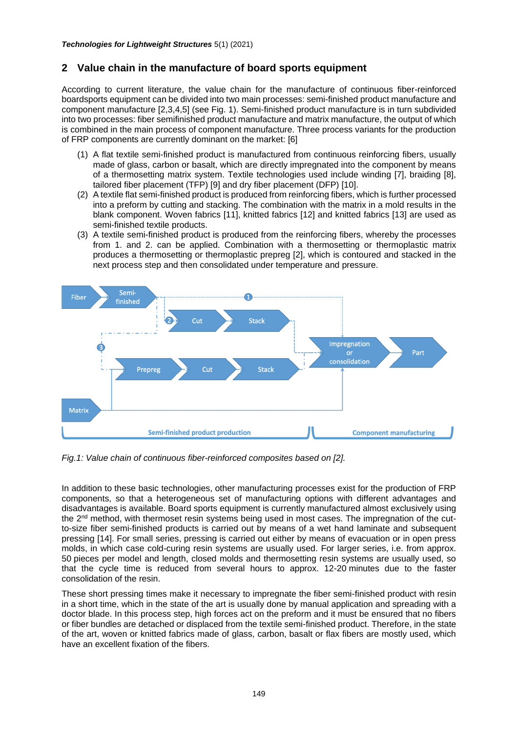### **2 Value chain in the manufacture of board sports equipment**

According to current literature, the value chain for the manufacture of continuous fiber-reinforced boardsports equipment can be divided into two main processes: semi-finished product manufacture and component manufacture [2,3,4,5] (see Fig. 1). Semi-finished product manufacture is in turn subdivided into two processes: fiber semifinished product manufacture and matrix manufacture, the output of which is combined in the main process of component manufacture. Three process variants for the production of FRP components are currently dominant on the market: [6]

- (1) A flat textile semi-finished product is manufactured from continuous reinforcing fibers, usually made of glass, carbon or basalt, which are directly impregnated into the component by means of a thermosetting matrix system. Textile technologies used include winding [7], braiding [8], tailored fiber placement (TFP) [9] and dry fiber placement (DFP) [10].
- (2) A textile flat semi-finished product is produced from reinforcing fibers, which is further processed into a preform by cutting and stacking. The combination with the matrix in a mold results in the blank component. Woven fabrics [11], knitted fabrics [12] and knitted fabrics [13] are used as semi-finished textile products.
- (3) A textile semi-finished product is produced from the reinforcing fibers, whereby the processes from 1. and 2. can be applied. Combination with a thermosetting or thermoplastic matrix produces a thermosetting or thermoplastic prepreg [2], which is contoured and stacked in the next process step and then consolidated under temperature and pressure.



*Fig.1: Value chain of continuous fiber-reinforced composites based on [2].*

In addition to these basic technologies, other manufacturing processes exist for the production of FRP components, so that a heterogeneous set of manufacturing options with different advantages and disadvantages is available. Board sports equipment is currently manufactured almost exclusively using the 2nd method, with thermoset resin systems being used in most cases. The impregnation of the cutto-size fiber semi-finished products is carried out by means of a wet hand laminate and subsequent pressing [14]. For small series, pressing is carried out either by means of evacuation or in open press molds, in which case cold-curing resin systems are usually used. For larger series, i.e. from approx. 50 pieces per model and length, closed molds and thermosetting resin systems are usually used, so that the cycle time is reduced from several hours to approx. 12-20 minutes due to the faster consolidation of the resin.

These short pressing times make it necessary to impregnate the fiber semi-finished product with resin in a short time, which in the state of the art is usually done by manual application and spreading with a doctor blade. In this process step, high forces act on the preform and it must be ensured that no fibers or fiber bundles are detached or displaced from the textile semi-finished product. Therefore, in the state of the art, woven or knitted fabrics made of glass, carbon, basalt or flax fibers are mostly used, which have an excellent fixation of the fibers.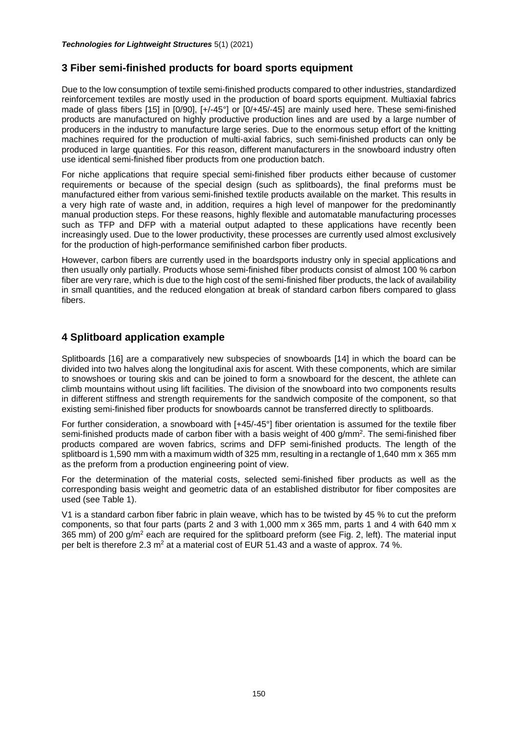# **3 Fiber semi-finished products for board sports equipment**

Due to the low consumption of textile semi-finished products compared to other industries, standardized reinforcement textiles are mostly used in the production of board sports equipment. Multiaxial fabrics made of glass fibers [15] in [0/90], [+/-45°] or [0/+45/-45] are mainly used here. These semi-finished products are manufactured on highly productive production lines and are used by a large number of producers in the industry to manufacture large series. Due to the enormous setup effort of the knitting machines required for the production of multi-axial fabrics, such semi-finished products can only be produced in large quantities. For this reason, different manufacturers in the snowboard industry often use identical semi-finished fiber products from one production batch.

For niche applications that require special semi-finished fiber products either because of customer requirements or because of the special design (such as splitboards), the final preforms must be manufactured either from various semi-finished textile products available on the market. This results in a very high rate of waste and, in addition, requires a high level of manpower for the predominantly manual production steps. For these reasons, highly flexible and automatable manufacturing processes such as TFP and DFP with a material output adapted to these applications have recently been increasingly used. Due to the lower productivity, these processes are currently used almost exclusively for the production of high-performance semifinished carbon fiber products.

However, carbon fibers are currently used in the boardsports industry only in special applications and then usually only partially. Products whose semi-finished fiber products consist of almost 100 % carbon fiber are very rare, which is due to the high cost of the semi-finished fiber products, the lack of availability in small quantities, and the reduced elongation at break of standard carbon fibers compared to glass fibers.

### **4 Splitboard application example**

Splitboards [16] are a comparatively new subspecies of snowboards [14] in which the board can be divided into two halves along the longitudinal axis for ascent. With these components, which are similar to snowshoes or touring skis and can be joined to form a snowboard for the descent, the athlete can climb mountains without using lift facilities. The division of the snowboard into two components results in different stiffness and strength requirements for the sandwich composite of the component, so that existing semi-finished fiber products for snowboards cannot be transferred directly to splitboards.

For further consideration, a snowboard with [+45/-45°] fiber orientation is assumed for the textile fiber semi-finished products made of carbon fiber with a basis weight of 400  $g/mm^2$ . The semi-finished fiber products compared are woven fabrics, scrims and DFP semi-finished products. The length of the splitboard is 1,590 mm with a maximum width of 325 mm, resulting in a rectangle of 1,640 mm x 365 mm as the preform from a production engineering point of view.

For the determination of the material costs, selected semi-finished fiber products as well as the corresponding basis weight and geometric data of an established distributor for fiber composites are used (see Table 1).

V1 is a standard carbon fiber fabric in plain weave, which has to be twisted by 45 % to cut the preform components, so that four parts (parts 2 and 3 with 1,000 mm x 365 mm, parts 1 and 4 with 640 mm x 365 mm) of 200 g/m<sup>2</sup> each are required for the splitboard preform (see Fig. 2, left). The material input per belt is therefore 2.3  $m^2$  at a material cost of EUR 51.43 and a waste of approx. 74 %.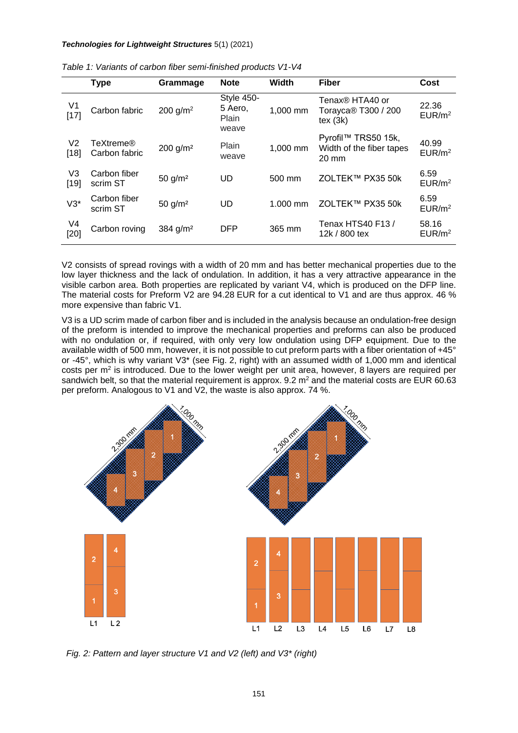#### *Technologies for Lightweight Structures* 5(1) (2021)

|              | <b>Type</b>                | Grammage              | <b>Note</b>                             | Width    | <b>Fiber</b>                                                                | Cost                        |
|--------------|----------------------------|-----------------------|-----------------------------------------|----------|-----------------------------------------------------------------------------|-----------------------------|
| V1<br>[17]   | Carbon fabric              | 200 $q/m^2$           | Style 450-<br>5 Aero,<br>Plain<br>weave | 1,000 mm | Tenax <sup>®</sup> HTA40 or<br>Torayca <sup>®</sup> T300 / 200<br>text (3k) | 22.36<br>EUR/m <sup>2</sup> |
| V2<br>[18]   | TeXtreme®<br>Carbon fabric | 200 g/m <sup>2</sup>  | Plain<br>weave                          | 1,000 mm | Pyrofil™ TRS50 15k,<br>Width of the fiber tapes<br>20 mm                    | 40.99<br>EUR/m <sup>2</sup> |
| V3<br>$[19]$ | Carbon fiber<br>scrim ST   | $50$ g/m <sup>2</sup> | UD                                      | 500 mm   | ZOLTEK™ PX35 50k                                                            | 6.59<br>EUR/m <sup>2</sup>  |
| $V3*$        | Carbon fiber<br>scrim ST   | $50$ g/m <sup>2</sup> | UD                                      | 1.000 mm | ZOLTEK™ PX35 50k                                                            | 6.59<br>EUR/m <sup>2</sup>  |
| V4<br>[20]   | Carbon roving              | 384 g/m <sup>2</sup>  | <b>DFP</b>                              | 365 mm   | Tenax HTS40 F13 /<br>12k / 800 tex                                          | 58.16<br>EUR/m <sup>2</sup> |

| Table 1: Variants of carbon fiber semi-finished products V1-V4 |  |
|----------------------------------------------------------------|--|
|----------------------------------------------------------------|--|

V2 consists of spread rovings with a width of 20 mm and has better mechanical properties due to the low layer thickness and the lack of ondulation. In addition, it has a very attractive appearance in the visible carbon area. Both properties are replicated by variant V4, which is produced on the DFP line. The material costs for Preform V2 are 94.28 EUR for a cut identical to V1 and are thus approx. 46 % more expensive than fabric V1.

V3 is a UD scrim made of carbon fiber and is included in the analysis because an ondulation-free design of the preform is intended to improve the mechanical properties and preforms can also be produced with no ondulation or, if required, with only very low ondulation using DFP equipment. Due to the available width of 500 mm, however, it is not possible to cut preform parts with a fiber orientation of +45° or -45°, which is why variant V3\* (see Fig. 2, right) with an assumed width of 1,000 mm and identical costs per  $m<sup>2</sup>$  is introduced. Due to the lower weight per unit area, however, 8 layers are required per sandwich belt, so that the material requirement is approx. 9.2 m<sup>2</sup> and the material costs are EUR 60.63 per preform. Analogous to V1 and V2, the waste is also approx. 74 %.



*Fig. 2: Pattern and layer structure V1 and V2 (left) and V3\* (right)*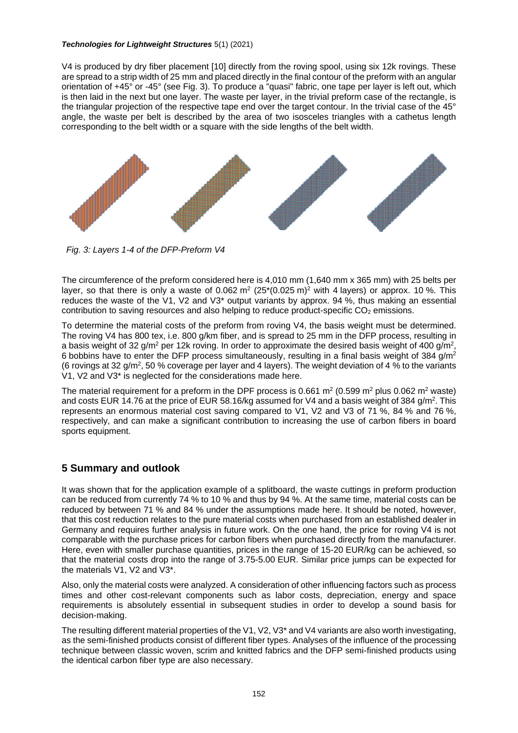#### *Technologies for Lightweight Structures* 5(1) (2021)

V4 is produced by dry fiber placement [10] directly from the roving spool, using six 12k rovings. These are spread to a strip width of 25 mm and placed directly in the final contour of the preform with an angular orientation of +45° or -45° (see Fig. 3). To produce a "quasi" fabric, one tape per layer is left out, which is then laid in the next but one layer. The waste per layer, in the trivial preform case of the rectangle, is the triangular projection of the respective tape end over the target contour. In the trivial case of the 45° angle, the waste per belt is described by the area of two isosceles triangles with a cathetus length corresponding to the belt width or a square with the side lengths of the belt width.



*Fig. 3: Layers 1-4 of the DFP-Preform V4*

The circumference of the preform considered here is 4,010 mm (1,640 mm x 365 mm) with 25 belts per layer, so that there is only a waste of 0.062  $m^2$  (25\*(0.025 m)<sup>2</sup> with 4 layers) or approx. 10 %. This reduces the waste of the V1, V2 and V3\* output variants by approx. 94 %, thus making an essential contribution to saving resources and also helping to reduce product-specific CO<sub>2</sub> emissions.

To determine the material costs of the preform from roving V4, the basis weight must be determined. The roving V4 has 800 tex, i.e. 800 g/km fiber, and is spread to 25 mm in the DFP process, resulting in a basis weight of 32 g/m<sup>2</sup> per 12k roving. In order to approximate the desired basis weight of 400 g/m<sup>2</sup>, 6 bobbins have to enter the DFP process simultaneously, resulting in a final basis weight of 384 g/m<sup>2</sup> (6 rovings at 32 g/m<sup>2</sup>, 50 % coverage per layer and 4 layers). The weight deviation of 4 % to the variants V1, V2 and V3\* is neglected for the considerations made here.

The material requirement for a preform in the DPF process is 0.661 m<sup>2</sup> (0.599 m<sup>2</sup> plus 0.062 m<sup>2</sup> waste) and costs EUR 14.76 at the price of EUR 58.16/kg assumed for V4 and a basis weight of 384  $g/m^2$ . This represents an enormous material cost saving compared to V1, V2 and V3 of 71 %, 84 % and 76 %, respectively, and can make a significant contribution to increasing the use of carbon fibers in board sports equipment.

# **5 Summary and outlook**

It was shown that for the application example of a splitboard, the waste cuttings in preform production can be reduced from currently 74 % to 10 % and thus by 94 %. At the same time, material costs can be reduced by between 71 % and 84 % under the assumptions made here. It should be noted, however, that this cost reduction relates to the pure material costs when purchased from an established dealer in Germany and requires further analysis in future work. On the one hand, the price for roving V4 is not comparable with the purchase prices for carbon fibers when purchased directly from the manufacturer. Here, even with smaller purchase quantities, prices in the range of 15-20 EUR/kg can be achieved, so that the material costs drop into the range of 3.75-5.00 EUR. Similar price jumps can be expected for the materials V1, V2 and V3\*.

Also, only the material costs were analyzed. A consideration of other influencing factors such as process times and other cost-relevant components such as labor costs, depreciation, energy and space requirements is absolutely essential in subsequent studies in order to develop a sound basis for decision-making.

The resulting different material properties of the V1, V2, V3\* and V4 variants are also worth investigating, as the semi-finished products consist of different fiber types. Analyses of the influence of the processing technique between classic woven, scrim and knitted fabrics and the DFP semi-finished products using the identical carbon fiber type are also necessary.